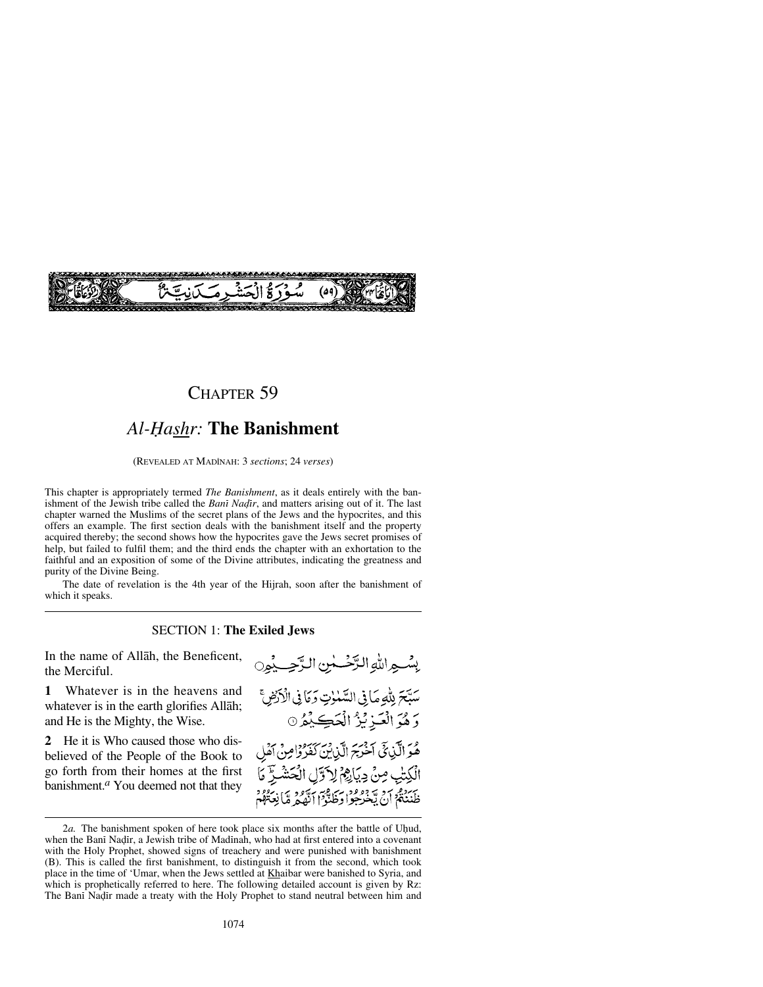

## CHAPTER 59

# *Al-Ïashr:* **The Banishment**

(REVEALED AT MADÍNAH: 3 *sections*; 24 *verses*)

This chapter is appropriately termed *The Banishment*, as it deals entirely with the banishment of the Jewish tribe called the *Bani Nadir*, and matters arising out of it. The last chapter warned the Muslims of the secret plans of the Jews and the hypocrites, and this offers an example. The first section deals with the banishment itself and the property acquired thereby; the second shows how the hypocrites gave the Jews secret promises of help, but failed to fulfil them; and the third ends the chapter with an exhortation to the faithful and an exposition of some of the Divine attributes, indicating the greatness and purity of the Divine Being.

The date of revelation is the 4th year of the Hijrah, soon after the banishment of which it speaks.

## SECTION 1: **The Exiled Jews**

In the name of Allåh, the Beneficent, the Merciful.

**1** Whatever is in the heavens and whatever is in the earth glorifies Allåh; and He is the Mighty, the Wise.

**2** He it is Who caused those who disbelieved of the People of the Book to go forth from their homes at the first banishment.*<sup>a</sup>* You deemed not that they بِسْهِ اللَّهِ الرَّحْسَٰنِ الرَّحِسِيْمِ سَتِّحَ بِلَّهِ مَا فِي السَّمْإِتِ وَمَا فِي الْأَرْضِ ۚ وَهُوَ الْعَزِيْزُ الْحَكِيْمُ 0 هُوَ الَّذِيْ أَخْرَجَ الَّذِيْنَ كَفَرُوْامِنْ آَهُلِ الْكِتْبِ مِنْ دِيَاهِمْ لِاَتِّلِ الْحَشْرِ ۖ مَا ظَنْنَةُ أَنْ يَعْرَجُوا دِخَلَتْوْا أَنَّهُمْ مَّا نِعَةُهُمْ

<sup>2</sup>*a*. The banishment spoken of here took place six months after the battle of Uhud, when the Bani Nadir, a Jewish tribe of Madinah, who had at first entered into a covenant with the Holy Prophet, showed signs of treachery and were punished with banishment (B). This is called the first banishment, to distinguish it from the second, which took place in the time of 'Umar, when the Jews settled at Khaibar were banished to Syria, and which is prophetically referred to here. The following detailed account is given by Rz: The Bani Nadir made a treaty with the Holy Prophet to stand neutral between him and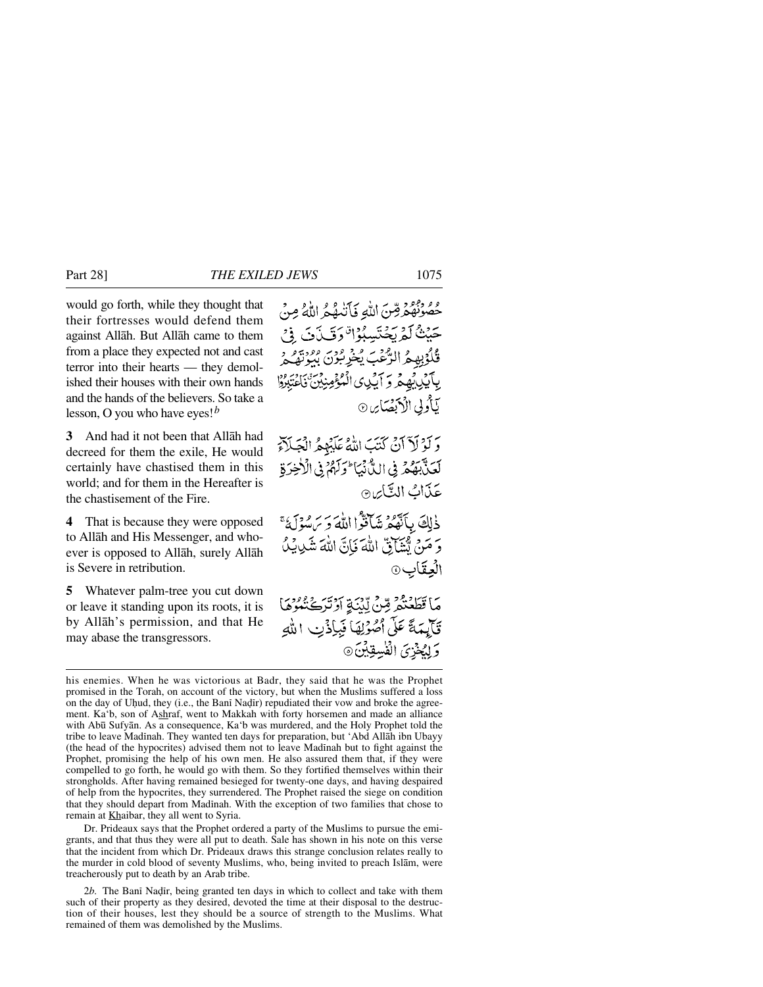would go forth, while they thought that their fortresses would defend them against Allåh. But Allåh came to them from a place they expected not and cast terror into their hearts — they demolished their houses with their own hands and the hands of the believers. So take a lesson, O you who have eyes!*<sup>b</sup>*

**3** And had it not been that Allåh had decreed for them the exile, He would certainly have chastised them in this world; and for them in the Hereafter is the chastisement of the Fire.

**4** That is because they were opposed to Allåh and His Messenger, and whoever is opposed to Allåh, surely Allåh is Severe in retribution.

**5** Whatever palm-tree you cut down or leave it standing upon its roots, it is by Allåh's permission, and that He may abase the transgressors.

ومؤنفه قِنَ اللّهِ فَأَنْتَهُمُ اللّهُ مِنْ حَيْثُ لَمْرِيَحْتَسِبُوْا وَقَيْدَنَ فِي فَكَوْبِهِمُ الرَّعْبَ يُخْرِبُونَ بَدَوْيَةٍ بِٱٓيۡبِٱۡبِهِمۡ وَ ٱلۡبَٰنِیِ الۡمُؤۡمِنِیۡنَ ۖ نَاغۡتَبُرُوۡا بَأْدِلِي الْأَنْصَا*نِ* ۞

وَلَوْلَاَ آنْ كَتْبَ اللَّهُ عَلَيْهِمُ الْجَلَآءُ لَعَنَّ بَهُمْ فِي اللَّهُ نَبَا مُوَلَّهُمْ فِي الْأَخِرَةِ عَذَابُ النَّائِنِ

ذٰلِكَ بِأَنَّهُمُ شَأَنَّوْا اللَّهَ وَيَسْوَلَهُ ۚ وَ مَنْ يُشَارِقٌ اللَّهَ فَإِنَّ اللَّهَ شَدِيدٍ العِقَابِ۞

مَا قَطَعْتُمْ مِّنْ لِّيْبَةِ أَدْتَرَكَنَّعُوهَا تَأَيِّمَةً عَلَى أَصْوَٰلِهَا فَبِإِذْنِ اللَّهِ وَلِيُخْزِيَ الْفُسِقِيْنَ٥

Dr. Prideaux says that the Prophet ordered a party of the Muslims to pursue the emigrants, and that thus they were all put to death. Sale has shown in his note on this verse that the incident from which Dr. Prideaux draws this strange conclusion relates really to the murder in cold blood of seventy Muslims, who, being invited to preach Islåm, were treacherously put to death by an Arab tribe.

2*b*. The Bani Nadir, being granted ten days in which to collect and take with them such of their property as they desired, devoted the time at their disposal to the destruction of their houses, lest they should be a source of strength to the Muslims. What remained of them was demolished by the Muslims.

his enemies. When he was victorious at Badr, they said that he was the Prophet promised in the Torah, on account of the victory, but when the Muslims suffered a loss on the day of Uhud, they (i.e., the Bani Nadir) repudiated their vow and broke the agreement. Ka'b, son of Ashraf, went to Makkah with forty horsemen and made an alliance with Abū Sufyān. As a consequence, Ka'b was murdered, and the Holy Prophet told the tribe to leave Madinah. They wanted ten days for preparation, but 'Abd Allāh ibn Ubayy (the head of the hypocrites) advised them not to leave Madinah but to fight against the Prophet, promising the help of his own men. He also assured them that, if they were compelled to go forth, he would go with them. So they fortified themselves within their strongholds. After having remained besieged for twenty-one days, and having despaired of help from the hypocrites, they surrendered. The Prophet raised the siege on condition that they should depart from Madinah. With the exception of two families that chose to remain at Khaibar, they all went to Syria.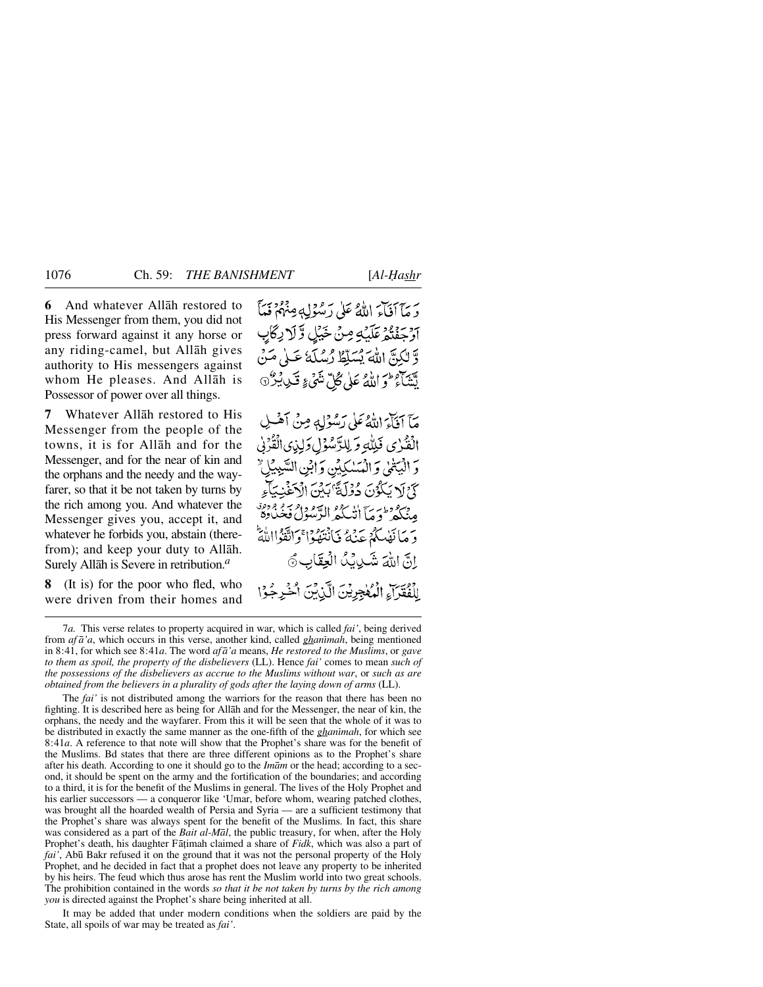**6** And whatever Allåh restored to His Messenger from them, you did not press forward against it any horse or any riding-camel, but Allåh gives authority to His messengers against whom He pleases. And Allåh is Possessor of power over all things.

**7** Whatever Allåh restored to His Messenger from the people of the towns, it is for Allåh and for the Messenger, and for the near of kin and the orphans and the needy and the wayfarer, so that it be not taken by turns by the rich among you. And whatever the Messenger gives you, accept it, and whatever he forbids you, abstain (therefrom); and keep your duty to Allåh. Surely Allåh is Severe in retribution.*<sup>a</sup>*

**8** (It is) for the poor who fled, who were driven from their homes and يَرِيّ آفَاءَ اللَّهُ عَلَى رَسُوْلِهِ مِنْهُمْ فَيَأْ اَوْجِفْنَهُمْ عَلَيْهِ مِنْ خَيْلِ وَلَا دِكَابِ وَّ لَكِنَّ اللَّهَ يُسَلَّطُ رُسُلَهُ عَبِيْ مَنْ لَتَتَأْتَرُ ثَوَ اللَّهُ عَلَى كُلِّ نَثَنَىٰ ۚ قَلِي يُنْزَلَ

مَّآ أَفَأَءَ اللَّهُ عَلَى رَسُوْلِهٖ مِنْ أَهْلِ الْفُرْيِ فَلِلَّهِ وَ لِلزَّسُوْلِ وَلِذِي الْقُرْنِي وَ الْبَعْلَىٰ وَ الْمَسْكِيِّنِ وَ ابْنِ السَّبِيبِّلِيِّ كَيْرْلَا يَكْوُنَ دُوْلَةً 'بَيْنَ الْآغَيْنِيَا وسروطية الأسرو الدودار سو ودود<br>مِنكَّدِ وَمَا انْسَكْدُ الرَّسُولُ فَخْبَادِهِ دَ مَا نَفْسَكُمْ جَنْهُ نَانْتَفَوْا ْوَاتَّقَوْااللَّهَ انَّ اللَّهَ شَيْدِيْدُ الْعِقَابِ ﴾

لِلْفُقَرَآءِ الْمُعْجِرِيْنَ الَّذِينَ أَخْرِجُوْا

The *fai'* is not distributed among the warriors for the reason that there has been no fighting. It is described here as being for Allåh and for the Messenger, the near of kin, the orphans, the needy and the wayfarer. From this it will be seen that the whole of it was to be distributed in exactly the same manner as the one-fifth of the *ghanimah*, for which see 8:41*a*. A reference to that note will show that the Prophet's share was for the benefit of the Muslims. Bd states that there are three different opinions as to the Prophet's share after his death. According to one it should go to the *Imåm* or the head; according to a second, it should be spent on the army and the fortification of the boundaries; and according to a third, it is for the benefit of the Muslims in general. The lives of the Holy Prophet and his earlier successors — a conqueror like 'Umar, before whom, wearing patched clothes, was brought all the hoarded wealth of Persia and Syria — are a sufficient testimony that the Prophet's share was always spent for the benefit of the Muslims. In fact, this share was considered as a part of the *Bait al-Mål*, the public treasury, for when, after the Holy Prophet's death, his daughter Fāṭimah claimed a share of *Fidk*, which was also a part of *fai'*, Abū Bakr refused it on the ground that it was not the personal property of the Holy Prophet, and he decided in fact that a prophet does not leave any property to be inherited by his heirs. The feud which thus arose has rent the Muslim world into two great schools. The prohibition contained in the words *so that it be not taken by turns by the rich among you* is directed against the Prophet's share being inherited at all.

It may be added that under modern conditions when the soldiers are paid by the State, all spoils of war may be treated as *fai'*.

<sup>7</sup>*a.* This verse relates to property acquired in war, which is called *fai'*, being derived from *af a'a*, which occurs in this verse, another kind, called *ghanimah*, being mentioned in 8:41, for which see 8:41*a*. The word *af å'a* means, *He restored to the Muslims*, or *gave to them as spoil, the property of the disbelievers* (LL). Hence *fai'* comes to mean *such of the possessions of the disbelievers as accrue to the Muslims without war*, or *such as are obtained from the believers in a plurality of gods after the laying down of arms* (LL).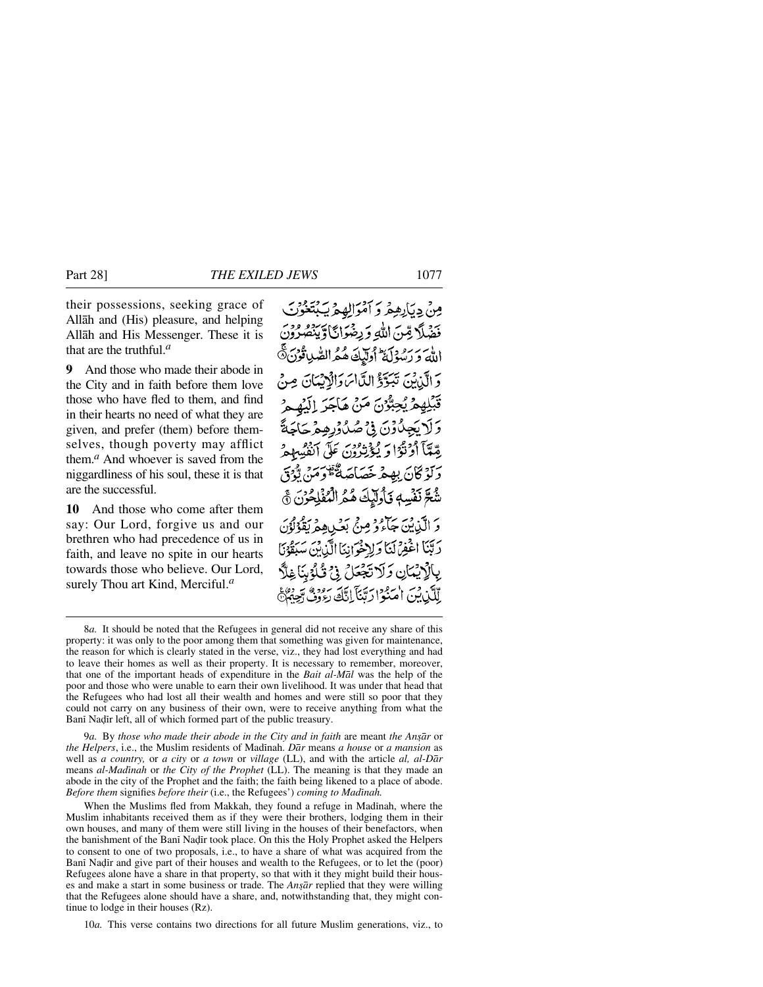their possessions, seeking grace of Allåh and (His) pleasure, and helping Allåh and His Messenger. These it is that are the truthful.*<sup>a</sup>*

**9** And those who made their abode in the City and in faith before them love those who have fled to them, and find in their hearts no need of what they are given, and prefer (them) before themselves, though poverty may afflict them.*<sup>a</sup>* And whoever is saved from the niggardliness of his soul, these it is that are the successful.

**10** And those who come after them say: Our Lord, forgive us and our brethren who had precedence of us in faith, and leave no spite in our hearts towards those who believe. Our Lord, surely Thou art Kind, Merciful.*<sup>a</sup>*

مِنْ دِيَارِهِمْ وَ أَمْوَالِهِمْ يَبْتَغُونَ فَضَلًا قِنَ اللَّهِ وَرِضْوَائًا وَيَنْصُرُ الله و رسود كي اوليك هُ هُرالصُّدِ تُوْرَجَ دَ الَّذِينَ تَبَيَّدَوْ الدَّاسَ دَالْدَيْنَانَ مِنْ قَبَلِهِمْ يُجِبُّرُنَ مَنْ هَاجَرَ إِلَيْهِمْ وَلَايَجِلُّوْنَ فِيْ صُدُوْرِهِمْ حَاجَةً رِّعَمَّآ أَوْتَوَا وَ يُؤْتِرُونَ عَلَى آنَفُسِهِمْ رَكَوْ كَانَ بِهِعْهِ خَصَاصَةٌ قُوصَ تَوْدَى شُعَّ نَفْسِهِ فَأُولَّيْكَ هُمُ الْمُفْلِحُونَ ۞ وَ الَّذِينَ جَآءُ وُ مِنْ بَعْبٍ هِ مَقْوَلَوْنَ رَبَّنَا اغْفِرْنَنَا وَلِاحْوَانِنَا الَّذِبْنَ سَبَقَوْنَا بِالْإِيْمَانِ وَلَا تَجْعَلُ فِي تُلْوُينَا غِلَّا لِّلَكِّنِ بِينَ امْ فِرْنِ بِينَ إِيَّا يَجْ رُءُوفُ دَّ

9*a.* By *those who made their abode in the City and in faith* are meant *the An©år* or *the Helpers*, i.e., the Muslim residents of Madinah. *Dār* means *a house* or *a mansion* as well as *a country,* or *a city* or *a town* or *village* (LL), and with the article *al, al-Dår* means *al-Madßnah* or *the City of the Prophet* (LL). The meaning is that they made an abode in the city of the Prophet and the faith; the faith being likened to a place of abode. *Before them* signifies *before their* (i.e., the Refugees') *coming to Madinah.* 

When the Muslims fled from Makkah, they found a refuge in Madinah, where the Muslim inhabitants received them as if they were their brothers, lodging them in their own houses, and many of them were still living in the houses of their benefactors, when the banishment of the Bani Nadir took place. On this the Holy Prophet asked the Helpers to consent to one of two proposals, i.e., to have a share of what was acquired from the Bani Nadir and give part of their houses and wealth to the Refugees, or to let the (poor) Refugees alone have a share in that property, so that with it they might build their houses and make a start in some business or trade. The *Ansār* replied that they were willing that the Refugees alone should have a share, and, notwithstanding that, they might continue to lodge in their houses (Rz).

10*a.* This verse contains two directions for all future Muslim generations, viz., to

<sup>8</sup>*a.* It should be noted that the Refugees in general did not receive any share of this property: it was only to the poor among them that something was given for maintenance, the reason for which is clearly stated in the verse, viz., they had lost everything and had to leave their homes as well as their property. It is necessary to remember, moreover, that one of the important heads of expenditure in the *Bait al-Mål* was the help of the poor and those who were unable to earn their own livelihood. It was under that head that the Refugees who had lost all their wealth and homes and were still so poor that they could not carry on any business of their own, were to receive anything from what the Bani Nadir left, all of which formed part of the public treasury.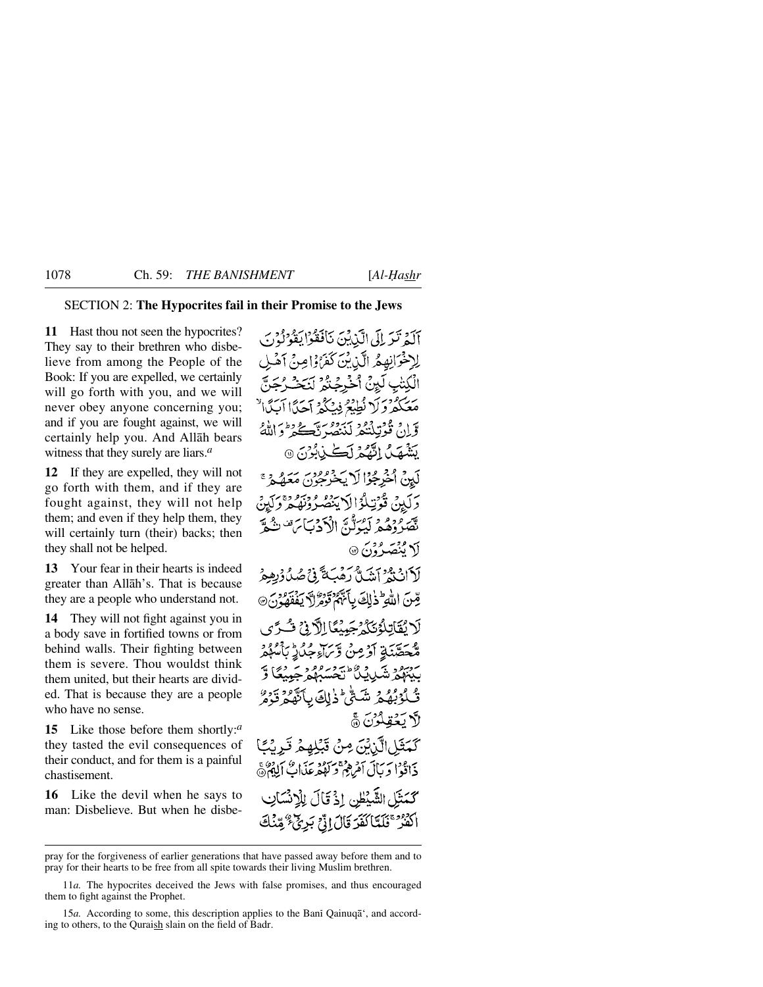## SECTION 2: **The Hypocrites fail in their Promise to the Jews**

**11** Hast thou not seen the hypocrites? They say to their brethren who disbelieve from among the People of the Book: If you are expelled, we certainly will go forth with you, and we will never obey anyone concerning you; and if you are fought against, we will certainly help you. And Allåh bears witness that they surely are liars.*<sup>a</sup>*

**12** If they are expelled, they will not go forth with them, and if they are fought against, they will not help them; and even if they help them, they will certainly turn (their) backs; then they shall not be helped.

**13** Your fear in their hearts is indeed greater than Allåh's. That is because they are a people who understand not.

**14** They will not fight against you in a body save in fortified towns or from behind walls. Their fighting between them is severe. Thou wouldst think them united, but their hearts are divided. That is because they are a people who have no sense.

**15** Like those before them shortly:*<sup>a</sup>* they tasted the evil consequences of their conduct, and for them is a painful chastisement.

**16** Like the devil when he says to man: Disbelieve. But when he disbe-

آلَهُ تَبَرَ إِلَى الَّذِينَ نَافَقُوْا يَقُونُونَ لِاخْوَانِهِمْ الَّذِيْنَ كَفَرَاوْاصِرْحِ آهُ تٰبِ لَيْنُ أُخْرِجُنُّهُ مَعَكَّمْ وَكَرْ نُطِيْعُ فِينَكِّمْ آجَدًّا آيَدًا لَهُ نْ قُوْتِلْنَكُمْ لَيْنَصَّ ذَّكَ كُرْمٍ وَ ن گُرُمَ کَ @ يَتَنْبَصَلُ النَّفْكُمُ لَة لْوَالْأَيْنَصُّ قذتن يسر ووو د رَوِيرُوْيَ الْأَدْبَابَ مَنْ تَ لَا مُنْصَدُوْنَ ۞ ن وجود آمدي من شرح في المحروفية.<br>ان يع آمدن رهب محمد المحروفية قِينَ اللَّهِ ۖ ذَٰ لِكَ بِأَنَّهُمْ قَوْمٌ لَهُ يَفۡفَهُوۡنَ ۞ لَا نُقَاتِلُوْنَكُمْ جَبِيْبُكَا الْآدِفِي فَسُرَّى مُحَصَّنَةِ أَدْمِنْ دَّبَ[وَجُلاَرُ بَأَ لْوْبُهُمْ شَحّْ ۖ ذٰلِكَ بِٱتَّهُمْ قَر لأد يَكْتَفَلّْدُنَّ ۞ كَمَثَلِ الَّذِبْنَ مِنْ قَبْلِهِمْ قَدِيْبًا ذَاذُوْا دَيَالَ آمَرِهِمْ وَلَهُمْ عَذَابٌ أَلِيْهُمْ ۚ كَمَثَلِ الشَّيْطِنِ إِذْ قَالَ لِلْإِنْسَانِ اكْفُرْ كَلَّمَّاكُفَّدَ قَالَ إِنَّيْ بَرِيٌّ ۚ مِّنْكَ

pray for the forgiveness of earlier generations that have passed away before them and to pray for their hearts to be free from all spite towards their living Muslim brethren.

<sup>11</sup>*a.* The hypocrites deceived the Jews with false promises, and thus encouraged them to fight against the Prophet.

<sup>15</sup>*a*. According to some, this description applies to the Bani Qainuqa<sup>\*</sup>, and according to others, to the Quraish slain on the field of Badr.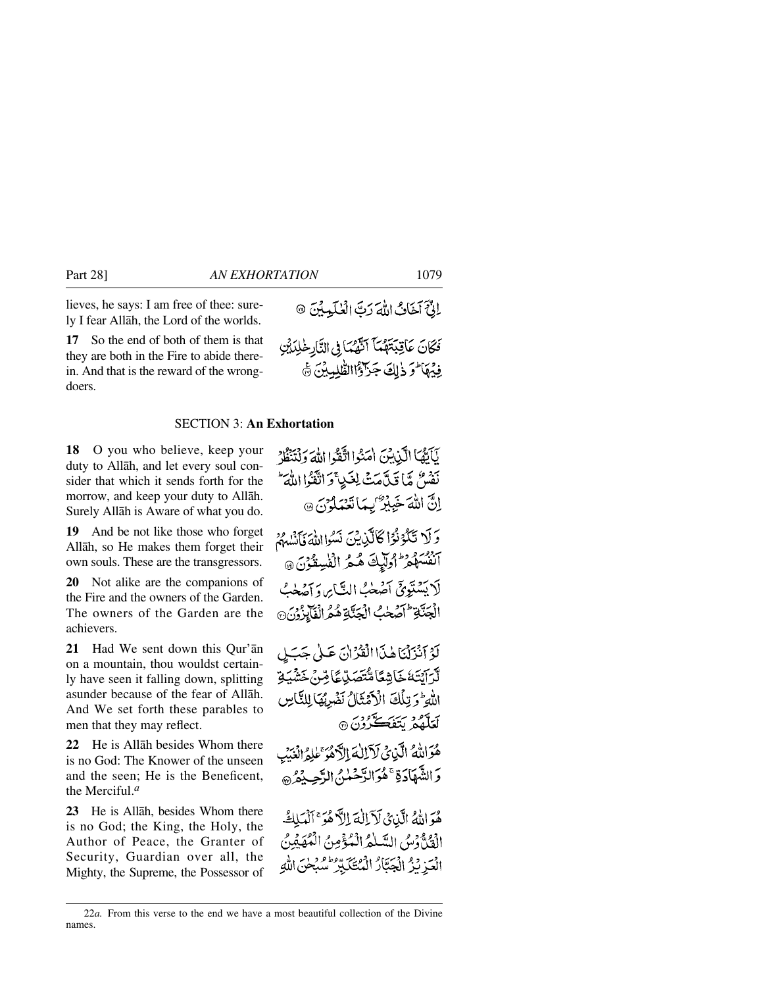lieves, he says: I am free of thee: surely I fear Allåh, the Lord of the worlds.

**17** So the end of both of them is that they are both in the Fire to abide therein. And that is the reward of the wrongdoers.

## SECTION 3: **An Exhortation**

**18** O you who believe, keep your duty to Allåh, and let every soul consider that which it sends forth for the morrow, and keep your duty to Allåh. Surely Allåh is Aware of what you do.

**19** And be not like those who forget Allåh, so He makes them forget their own souls. These are the transgressors.

**20** Not alike are the companions of the Fire and the owners of the Garden. The owners of the Garden are the achievers.

**21** Had We sent down this Qur'ån on a mountain, thou wouldst certainly have seen it falling down, splitting asunder because of the fear of Allåh. And We set forth these parables to men that they may reflect.

**22** He is Allåh besides Whom there is no God: The Knower of the unseen and the seen; He is the Beneficent, the Merciful.*<sup>a</sup>*

**23** He is Allåh, besides Whom there is no God; the King, the Holy, the Author of Peace, the Granter of Security, Guardian over all, the Mighty, the Supreme, the Possessor of الِّ } كَمَانُ اللَّهَ رَبَّ الْعُلَيْدِيْنَ ۞

فَكَانَ عَاقِبَتَهُمَّاً النَّهُمَا فِي النَّارِخْلِدَيْنِ فِيْهَا وَذَلِكَ جَزَاؤُاالطّْلِبِيْنَ ﴾

نَأَبَّهُا الَّذِبْنَ امَنُوا اتَّفَدُا اللَّهَ وَلْتَنَظُرُ نَفْسٌ مَّا قَدَّمَتْ لِغَيْ وَاتَّقَوْا اللَّهَ اِنَّ اللهَ خَيِيْرٌ يِهَا تَعْمَلُوْنَ ۞ وَلَا تَكُوْنُوا كَالَّيْنِيْنَ نَسُوا اللَّهَ فَأَنْسُمُ م دوره دارايك كمكر الفيدقون @ لَا يَسْتَوِيَّ آصَّحْبُ النَّابِرِ، وَآصَّحْبُ الْجَنَّةِ إِحْمَحْبُ الْجَنَّةِ هُمُ الْفَابِزُوْنَ لَوْ آَنْزَلْنَاهُذَا الْقَرْانَ عَلَى جَبَلِ ڷڗۜٳؽؾؘڬڂؘٳۺڰٵۿ۠ؾؘڝؘڸۨڲٳڞؚؽؘڂؘۺٛۨۑؘػٟ اللَّهِ وَتِلْكَ الْأَهْتَالُ نَضْرِبُهَا لِلنَّاسِ برود سربرسي در.<br>لغلقه بتفڪرون ه هُوَالِلَّهُ الَّذِي لَآلِكَ الْكُهُمَّ عَلَيْهِ إِبْرَمِهِ دَ الشَّهَادَةِ ۚ هُوَ الدَّحْمٰنِي الدَّجِبِ دُهُ ۞

هُوَ اللَّهُ الَّذِي لَآ اللَّهَ إِلاَّ هُوَ ۚ ٱلْمَلَكُ الْقَدَّةِ دْسُ السَّلْمُ الْمُؤْمِنُ الْمُفَيِّدُ ﴾ الْعَزِيْزُ الْجَبَّارُ الْمُتَكَبِّرُ سُبْحٰنَ اللَّهِ

<sup>22</sup>*a.* From this verse to the end we have a most beautiful collection of the Divine names.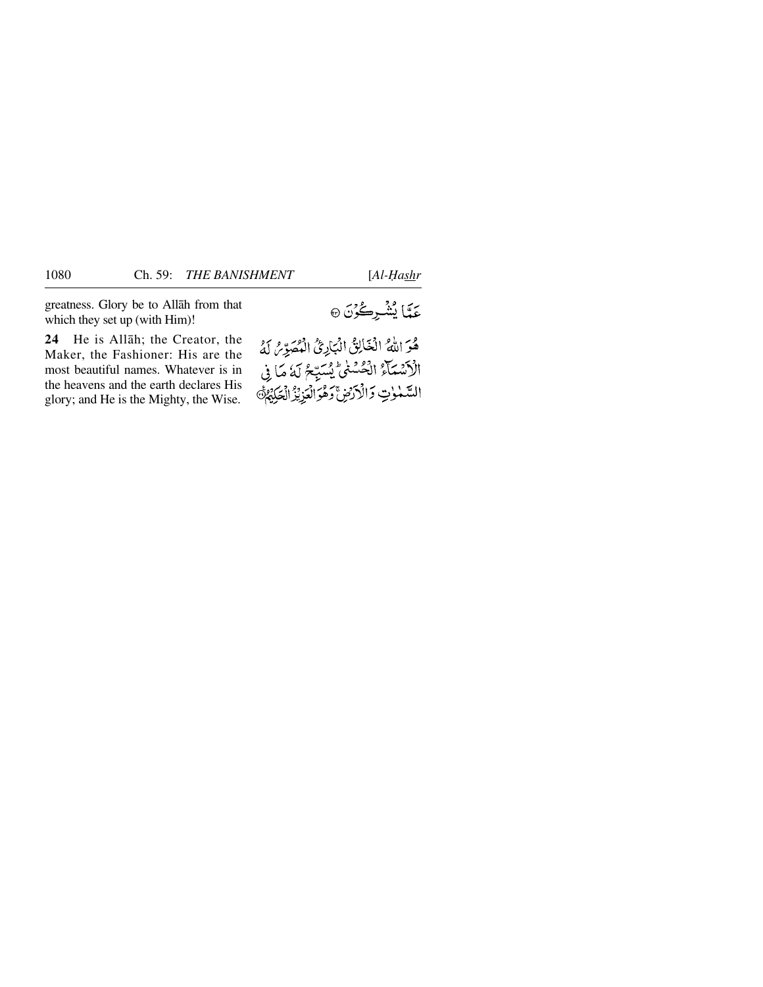greatness. Glory be to Allåh from that which they set up (with Him)!

**24** He is Allåh; the Creator, the Maker, the Fashioner: His are the most beautiful names. Whatever is in the heavens and the earth declares His glory; and He is the Mighty, the Wise.

هُوَ اللَّهُ الْغَالِقُ الْبَارِئُ الْمُصَوِّرُ لَهُ الْأَشْمَآءُ الْحُسْنَىّ يُسَبِّعُ لَهُ مَا فِى السَّمْوٰتِ وَالْأَرْضِ ۚ وَهُوَالْعَزِيْزُ الْحَكِيْهُمْ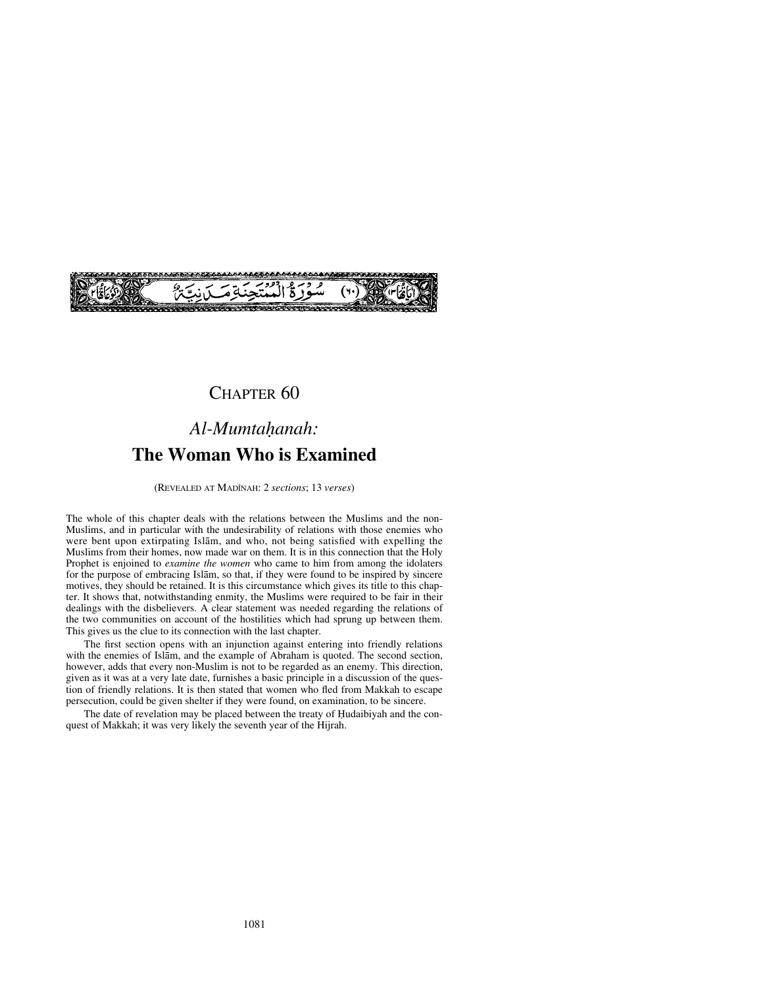

## CHAPTER 60

# Al-Mumtahanah: **The Woman Who is Examined**

(REVEALED AT MADÍNAH: 2 *sections*; 13 *verses*)

The whole of this chapter deals with the relations between the Muslims and the non-Muslims, and in particular with the undesirability of relations with those enemies who were bent upon extirpating Islåm, and who, not being satisfied with expelling the Muslims from their homes, now made war on them. It is in this connection that the Holy Prophet is enjoined to *examine the women* who came to him from among the idolaters for the purpose of embracing Islåm, so that, if they were found to be inspired by sincere motives, they should be retained. It is this circumstance which gives its title to this chapter. It shows that, notwithstanding enmity, the Muslims were required to be fair in their dealings with the disbelievers. A clear statement was needed regarding the relations of the two communities on account of the hostilities which had sprung up between them. This gives us the clue to its connection with the last chapter.

The first section opens with an injunction against entering into friendly relations with the enemies of Islåm, and the example of Abraham is quoted. The second section, however, adds that every non-Muslim is not to be regarded as an enemy. This direction, given as it was at a very late date, furnishes a basic principle in a discussion of the question of friendly relations. It is then stated that women who fled from Makkah to escape persecution, could be given shelter if they were found, on examination, to be sincere.

The date of revelation may be placed between the treaty of Hudaibiyah and the conquest of Makkah; it was very likely the seventh year of the Hijrah.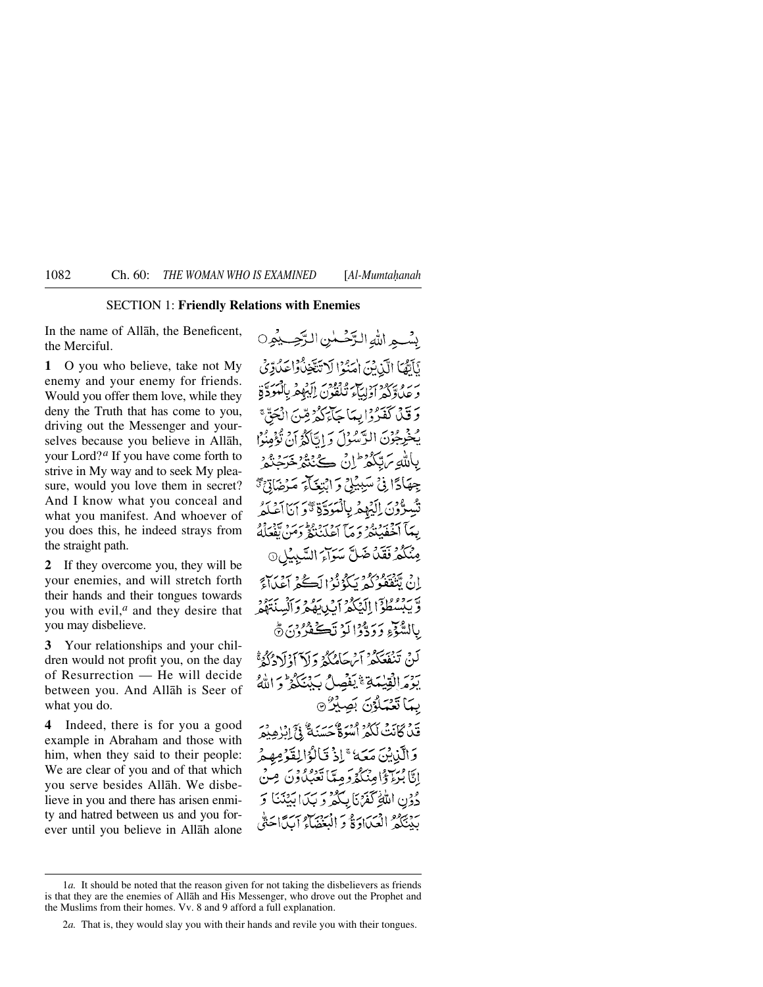## SECTION 1: **Friendly Relations with Enemies**

In the name of Allåh, the Beneficent, the Merciful.

**1** O you who believe, take not My enemy and your enemy for friends. Would you offer them love, while they deny the Truth that has come to you, driving out the Messenger and yourselves because you believe in Allåh, your Lord?*<sup>a</sup>* If you have come forth to strive in My way and to seek My pleasure, would you love them in secret? And I know what you conceal and what you manifest. And whoever of you does this, he indeed strays from the straight path.

**2** If they overcome you, they will be your enemies, and will stretch forth their hands and their tongues towards you with evil,*<sup>a</sup>* and they desire that you may disbelieve.

**3** Your relationships and your children would not profit you, on the day of Resurrection — He will decide between you. And Allåh is Seer of what you do.

**4** Indeed, there is for you a good example in Abraham and those with him, when they said to their people: We are clear of you and of that which you serve besides Allåh. We disbelieve in you and there has arisen enmity and hatred between us and you forever until you believe in Allåh alone

بِيْبِ مِيدٍ اللَّهَ التَّخْسِينِ التَّحِبِ بِيُمِرٍ 0 نَأَنَّهَا الَّذِينَ احْنُوْا لَا تَتَّخِذُواْ حَدُّدِّي بربره يردد حزب وفودس أبداه بالمتحدة وَ قَيْلَ كَفَيْرُوْا بِيهَا جَأْءَكُمْ قِينَ انْجَقَّ ۚ يُخْرِجُوْنَ الرَّسْوَلَ وَ اتَّاكُهُ أَنْ يُؤْمِنُوْا بِاللَّهِ بِٱلْكُمْرِ ۖ إِنَّ كَيْنَتُمْ خَرَجْتُمْ ۚ جِهَادًا فِي تَسَبِيْلِي وَ ابْتِغَاءَ مَدْضَادِّيٍّ دَّوْنَ إِلَيْهِمْ بِالْمَوَدِّةِ تَّوَ إِنَّا آَعَلَمُ بِيمَآ أَخۡفَيۡبَنَّهُۥ وَ مَآ أَعۡلَنۡنَهُۥ وَمَنۡنَ تَقۡفَلُهُۥ مِنْكُمْ فَقَدْ ضَلَّ سَوَاءَ السَّبِيْلِ@ إِنْ تَنْقَفُوْكُمْ نَكُوْنُوا أَكُنَّهُ أَعْدَاءً وَّيْبِيْسُطُوْٓا إِلَيۡكُمۡ ٱِيۡبِيِّبِهُمۡ وَٱلۡسِنَةَهُمۡ بِاللَّهُ ذِي دَدِّدْوْالَوْ نَڪَفَدُونِ ۞ لَينْ تَنْفَعَكُمْ آيْرِجَاهُكُمْ دَادْ آدْنَ دْكُرْ ّْ بَوْمَرَالْقِيلِيَّةِ يَنْفُصِلُ بِكَيْنَكُمْ فَيَ الْذَكَر بِيمَا تَعْيَلُوْنَ بِصِبْرُ @ قَنْ كَانَتْ لَكُمْ أُسُوَةٌ حَسَنَةٌ فِي إِبْرِهِيْمَ وَالَّذِينَ مَعَهُ ۚ إِذۡ قَالُوۡالِقَوۡ مِهِمۡ إِيًّا بُنْ ذَا وَيُنْكُّدُوَ مِيًّا تَعْبُكُونَ مِ دُوْنِ اللَّهِ كَفَرْنَا بِكُمْ وَ بَكَ ابْيُنَنَا وَ بَدْبَيْرُهُ الْعَيَادَةُ وَ الْمَنْهَاءُ آيِدًا حَتَّى

<sup>1</sup>*a.* It should be noted that the reason given for not taking the disbelievers as friends is that they are the enemies of Allåh and His Messenger, who drove out the Prophet and the Muslims from their homes. Vv. 8 and 9 afford a full explanation.

<sup>2</sup>*a.* That is, they would slay you with their hands and revile you with their tongues.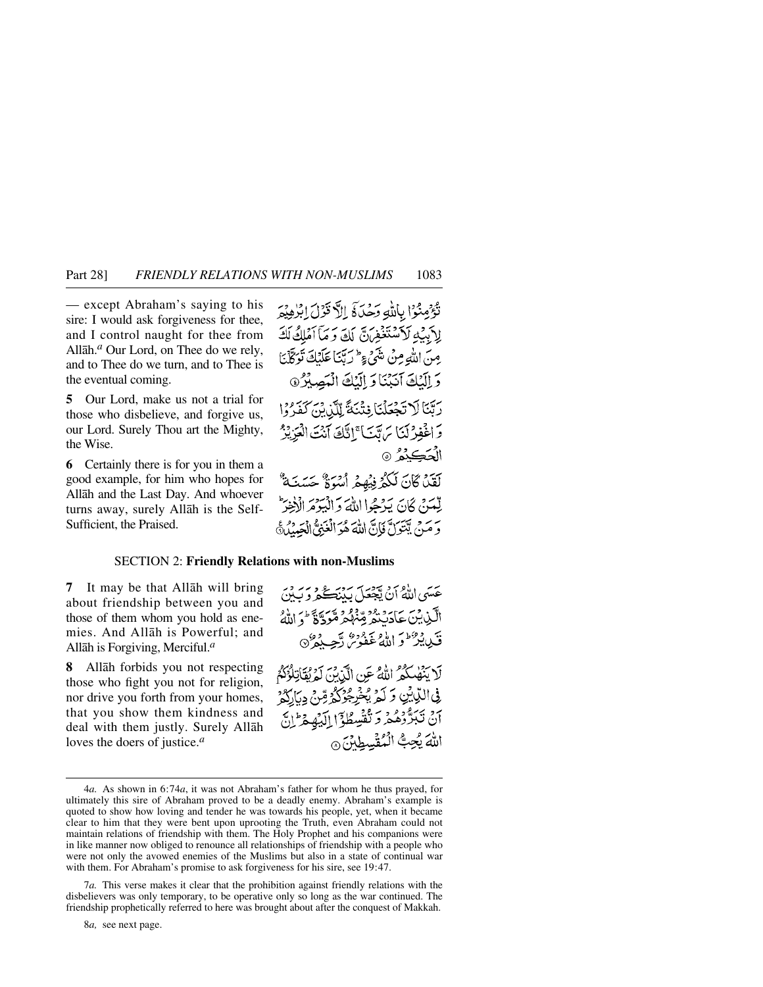— except Abraham's saying to his sire: I would ask forgiveness for thee, and I control naught for thee from Allåh.*<sup>a</sup>* Our Lord, on Thee do we rely, and to Thee do we turn, and to Thee is the eventual coming.

**5** Our Lord, make us not a trial for those who disbelieve, and forgive us, our Lord. Surely Thou art the Mighty, the Wise.

**6** Certainly there is for you in them a good example, for him who hopes for Allåh and the Last Day. And whoever turns away, surely Allåh is the Self-Sufficient, the Praised.

تَؤْمِنُوا بِاللَّهِ رَمِّرَةَ إِلاَّ قَوْلَ إِبْرُهِيْمَ لِأَبِيْهِ لَأَسْتَغْفِرَنَّ لَكَ وَمَا أَمْلِكُ لَكَ مِنَ اللَّهِ مِنْ مَنْهُمْ وَإِسْمَا عَلَيْكَ نَوَكَّلْنَا وَ الْكُكَ آنَيْنَا وَ إِلَيْكَ الْمَصِيْرُ @ رِبَّنَا لَا تَجْعَلْنَا فِتْنَةً لِلَّذِينَ كَفَرُوا وَاخْفِرْكَنَا يَرَبَّيْنَا ۚ إِنَّكَ آَنُتَ الْعَزِيْزُ الْحَڪنْهُ ۞ لَقَدْ كَانَ لَكُمْ فِيْهِمْ أُسُوَةٌ حَسَنَةٌ لِّعَدَبَّ كَانَ يَدْجُوا اللَّهَ وَ الْبَوْمَ الْأَخِيرَ

يَرْيَرِ بِيَتَوَلَّ فَإِنَّ اللَّهَ هُوَ الْغَبْقُ الْعَبْدُرُهُ إِ

## SECTION 2: **Friendly Relations with non-Muslims**

**7** It may be that Allåh will bring about friendship between you and those of them whom you hold as enemies. And Allåh is Powerful; and Allåh is Forgiving, Merciful.*<sup>a</sup>*

**8** Allåh forbids you not respecting those who fight you not for religion, nor drive you forth from your homes, that you show them kindness and deal with them justly. Surely Allåh loves the doers of justice.*<sup>a</sup>*

عَسَى اللَّهُ أَنْ يَعْصَلَ بِدَبْتِكُمْ وَيَدْدِي الَّيْنِ بِيْنَ حَادَيْنَهُمْ تَعَهُّدُهُ مُعَوَّدَةٌ ۚ وَ اللَّهُ قَدِيدٌ وَاللَّهُ غَفُوسُ دَّجِيدُهُ ﴾ لَا يَنْهَى لَكُمْ اللَّهُ عَنِ الَّذِينَ لَمَرْيُقَاتِلُوْكُمُ فِي اللَّهِ لِمِن وَكَّوَ يُخْرِجُوْكُمْ مِّنْ دِيَارَكُمْ آنْ تَبَرَّوْهُمْ وَتَفْسِطُوْٓا إِلَيْهِمْ وَإِلَى اللهَ بُحِبُّ الْمُقْسِطِينَ @

8*a,* see next page.

<sup>4</sup>*a.* As shown in 6:74*a*, it was not Abraham's father for whom he thus prayed, for ultimately this sire of Abraham proved to be a deadly enemy. Abraham's example is quoted to show how loving and tender he was towards his people, yet, when it became clear to him that they were bent upon uprooting the Truth, even Abraham could not maintain relations of friendship with them. The Holy Prophet and his companions were in like manner now obliged to renounce all relationships of friendship with a people who were not only the avowed enemies of the Muslims but also in a state of continual war with them. For Abraham's promise to ask forgiveness for his sire, see 19:47.

<sup>7</sup>*a.* This verse makes it clear that the prohibition against friendly relations with the disbelievers was only temporary, to be operative only so long as the war continued. The friendship prophetically referred to here was brought about after the conquest of Makkah.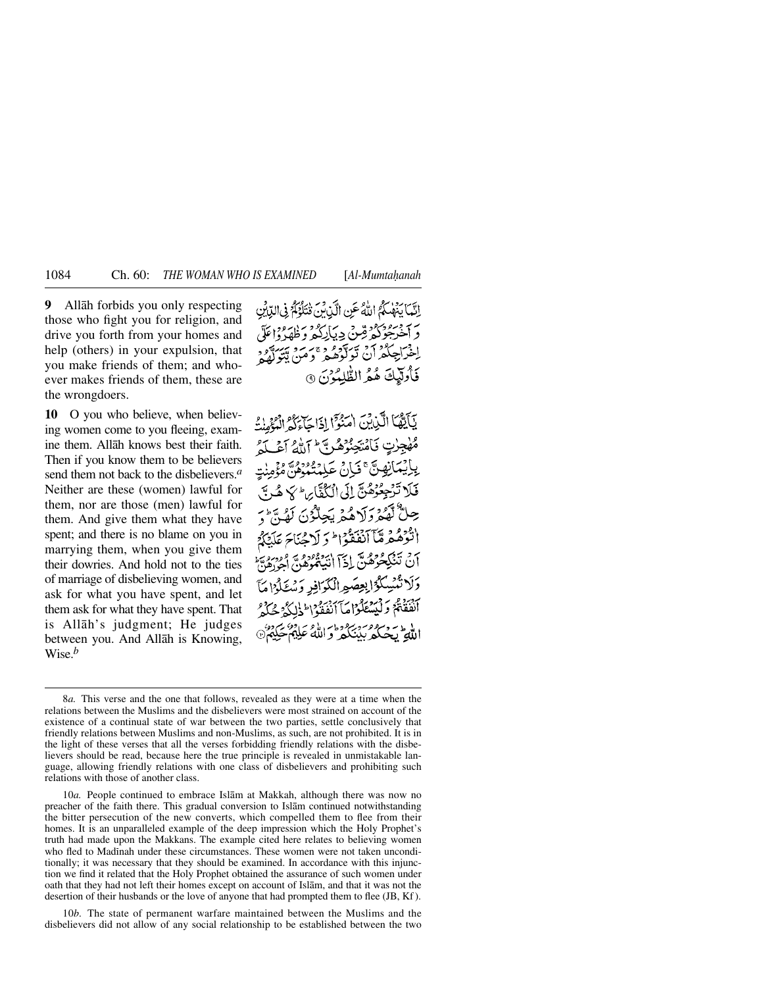**9** Allåh forbids you only respecting those who fight you for religion, and drive you forth from your homes and help (others) in your expulsion, that you make friends of them; and whoever makes friends of them, these are the wrongdoers.

**10** O you who believe, when believing women come to you fleeing, examine them. Allåh knows best their faith. Then if you know them to be believers send them not back to the disbelievers.*<sup>a</sup>* Neither are these (women) lawful for them, nor are those (men) lawful for them. And give them what they have spent; and there is no blame on you in marrying them, when you give them their dowries. And hold not to the ties of marriage of disbelieving women, and ask for what you have spent, and let them ask for what they have spent. That is Allåh's judgment; He judges between you. And Allåh is Knowing, Wise.*<sup>b</sup>*

إِنَّمَا يَنْهَلُكُمُ اللَّهُ عَنِ الَّذِينَ فَتَلَوَّكُمْ فِي الدِّيْنِ د من در در در در این در این در این در اعلام ا در عدد 75 سوتوفرو سرو سرگه<br>اخراجگمران تولوهگر و من پتور فَأُولَيْكَ هُمُ الطُّلِمُوْنَ ٩

يَآيَّهُا الَّذِينَ امْنُوْا إِذَا جَاءَكُمْ الْوَْهِذِ مُهْجِزْتٍ فَأَمْتَجِنُّوْهُمْ بَيْءً إِلَيْهِ أَجْمَلَهُمْ لَيْسَمُّ بِإِيْمَانِهِينَّ فَبَانَ عَلَمْتُمُوهُ لَهُ فَوْهِ فَلَا تَرْجِعُوْهُنَّ إِلَى الْكُفَّارِ الْهُ لَا هُنَّ حِلٌّ تَهُوْمِ لَاهُمْ يَجِلُّوْنَ لَهُنَّ مِ اثْرُهُمْهُ مَّآ ٱنْفَقّْوَا ۖ وَ لَاحْنَاحَ عَلَيْكُمْ ۖ برد تمريح وهن ادي ايبر ووده پر ورديه.<br>آن تنگيخوهن ادا انتهارهاي اجوزهن دَلَا تُنْسِكُوْ ابْعِصَوِ الْكَرَافِرِ دَسْتَكُوْا مَا أَنْفَقَتُمْ وَلَيْتَنَكَّرْاهَا أَنْفَقُوْا إِلَيْ لَيْ حُكِّمْ ا لاء - وسره صريره و ماسط و ساحو» .<br>الله - يحيكه بينكهر و الله عليهم حيده

10*a.* People continued to embrace Islåm at Makkah, although there was now no preacher of the faith there. This gradual conversion to Islåm continued notwithstanding the bitter persecution of the new converts, which compelled them to flee from their homes. It is an unparalleled example of the deep impression which the Holy Prophet's truth had made upon the Makkans. The example cited here relates to believing women who fled to Madinah under these circumstances. These women were not taken unconditionally; it was necessary that they should be examined. In accordance with this injunction we find it related that the Holy Prophet obtained the assurance of such women under oath that they had not left their homes except on account of Islåm, and that it was not the desertion of their husbands or the love of anyone that had prompted them to flee (JB, Kf).

10*b.* The state of permanent warfare maintained between the Muslims and the disbelievers did not allow of any social relationship to be established between the two

<sup>8</sup>*a.* This verse and the one that follows, revealed as they were at a time when the relations between the Muslims and the disbelievers were most strained on account of the existence of a continual state of war between the two parties, settle conclusively that friendly relations between Muslims and non-Muslims, as such, are not prohibited. It is in the light of these verses that all the verses forbidding friendly relations with the disbelievers should be read, because here the true principle is revealed in unmistakable language, allowing friendly relations with one class of disbelievers and prohibiting such relations with those of another class.